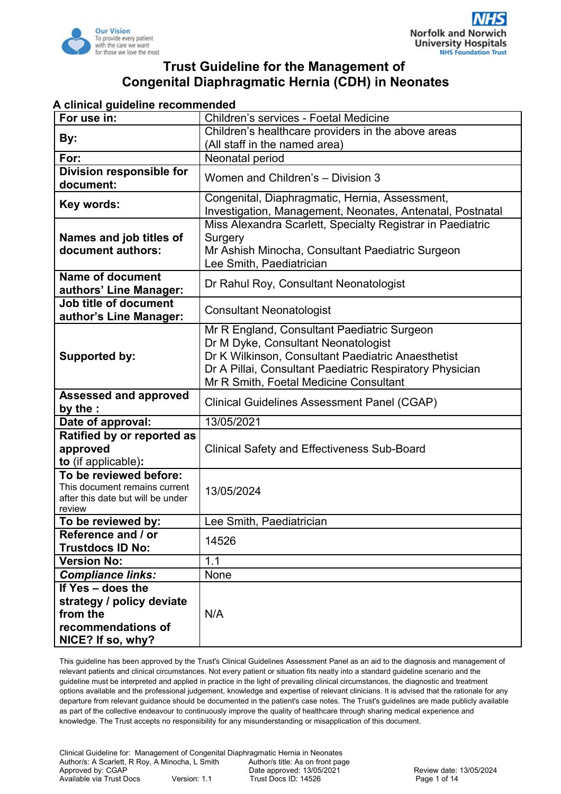

#### **A clinical guideline recommended**

| For use in:                                             | Children's services - Foetal Medicine                                        |  |  |  |
|---------------------------------------------------------|------------------------------------------------------------------------------|--|--|--|
|                                                         | Children's healthcare providers in the above areas                           |  |  |  |
| By:                                                     | (All staff in the named area)                                                |  |  |  |
| For:                                                    | Neonatal period                                                              |  |  |  |
| Division responsible for                                | Women and Children's - Division 3                                            |  |  |  |
| document:                                               |                                                                              |  |  |  |
| Key words:                                              | Congenital, Diaphragmatic, Hernia, Assessment,                               |  |  |  |
|                                                         | Investigation, Management, Neonates, Antenatal, Postnatal                    |  |  |  |
|                                                         | Miss Alexandra Scarlett, Specialty Registrar in Paediatric                   |  |  |  |
| Names and job titles of<br>document authors:            | Surgery                                                                      |  |  |  |
|                                                         | Mr Ashish Minocha, Consultant Paediatric Surgeon<br>Lee Smith, Paediatrician |  |  |  |
| <b>Name of document</b>                                 |                                                                              |  |  |  |
| authors' Line Manager:                                  | Dr Rahul Roy, Consultant Neonatologist                                       |  |  |  |
| Job title of document                                   |                                                                              |  |  |  |
| author's Line Manager:                                  | <b>Consultant Neonatologist</b>                                              |  |  |  |
|                                                         | Mr R England, Consultant Paediatric Surgeon                                  |  |  |  |
|                                                         | Dr M Dyke, Consultant Neonatologist                                          |  |  |  |
| Supported by:                                           | Dr K Wilkinson, Consultant Paediatric Anaesthetist                           |  |  |  |
|                                                         | Dr A Pillai, Consultant Paediatric Respiratory Physician                     |  |  |  |
|                                                         | Mr R Smith, Foetal Medicine Consultant                                       |  |  |  |
| <b>Assessed and approved</b>                            | <b>Clinical Guidelines Assessment Panel (CGAP)</b>                           |  |  |  |
| by the :                                                |                                                                              |  |  |  |
| Date of approval:                                       | 13/05/2021                                                                   |  |  |  |
| Ratified by or reported as                              |                                                                              |  |  |  |
| approved                                                | <b>Clinical Safety and Effectiveness Sub-Board</b>                           |  |  |  |
| to (if applicable):                                     |                                                                              |  |  |  |
| To be reviewed before:<br>This document remains current |                                                                              |  |  |  |
| after this date but will be under                       | 13/05/2024                                                                   |  |  |  |
| review                                                  |                                                                              |  |  |  |
| To be reviewed by:                                      | Lee Smith, Paediatrician                                                     |  |  |  |
| Reference and / or                                      | 14526                                                                        |  |  |  |
| <b>Trustdocs ID No:</b>                                 |                                                                              |  |  |  |
| <b>Version No:</b>                                      | 1.1                                                                          |  |  |  |
| <b>Compliance links:</b>                                | None                                                                         |  |  |  |
| If Yes - does the                                       |                                                                              |  |  |  |
| strategy / policy deviate                               |                                                                              |  |  |  |
| from the                                                | N/A                                                                          |  |  |  |
| recommendations of                                      |                                                                              |  |  |  |
| NICE? If so, why?                                       |                                                                              |  |  |  |

This guideline has been approved by the Trust's Clinical Guidelines Assessment Panel as an aid to the diagnosis and management of relevant patients and clinical circumstances. Not every patient or situation fits neatly into a standard guideline scenario and the guideline must be interpreted and applied in practice in the light of prevailing clinical circumstances, the diagnostic and treatment options available and the professional judgement, knowledge and expertise of relevant clinicians. It is advised that the rationale for any departure from relevant guidance should be documented in the patient's case notes. The Trust's guidelines are made publicly available as part of the collective endeavour to continuously improve the quality of healthcare through sharing medical experience and knowledge. The Trust accepts no responsibility for any misunderstanding or misapplication of this document.

Clinical Guideline for: Management of Congenital Diaphragmatic Hernia in Neonates Author/s: A Scarlett, R Roy, A Minocha, L Smith Author/s title: As on front page<br>Approved by: CGAP Date approved: 13/05/2021 Date approved: 13/05/2021 <br>
Version: 1.1 Trust Docs ID: 14526 <br>
Page 1 of 14 Available via Trust Docs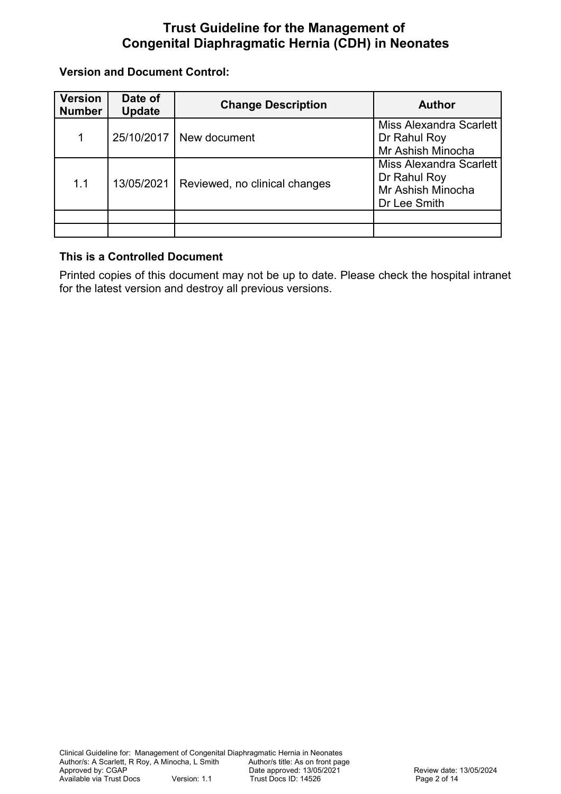**Version and Document Control:**

| <b>Version</b><br><b>Number</b> | Date of<br><b>Update</b> | <b>Change Description</b>     | <b>Author</b>                                                                       |  |  |
|---------------------------------|--------------------------|-------------------------------|-------------------------------------------------------------------------------------|--|--|
| 1                               | 25/10/2017               | New document                  | Miss Alexandra Scarlett<br>Dr Rahul Roy<br>Mr Ashish Minocha                        |  |  |
| 1.1                             | 13/05/2021               | Reviewed, no clinical changes | <b>Miss Alexandra Scarlett</b><br>Dr Rahul Roy<br>Mr Ashish Minocha<br>Dr Lee Smith |  |  |
|                                 |                          |                               |                                                                                     |  |  |
|                                 |                          |                               |                                                                                     |  |  |

#### **This is a Controlled Document**

Printed copies of this document may not be up to date. Please check the hospital intranet for the latest version and destroy all previous versions.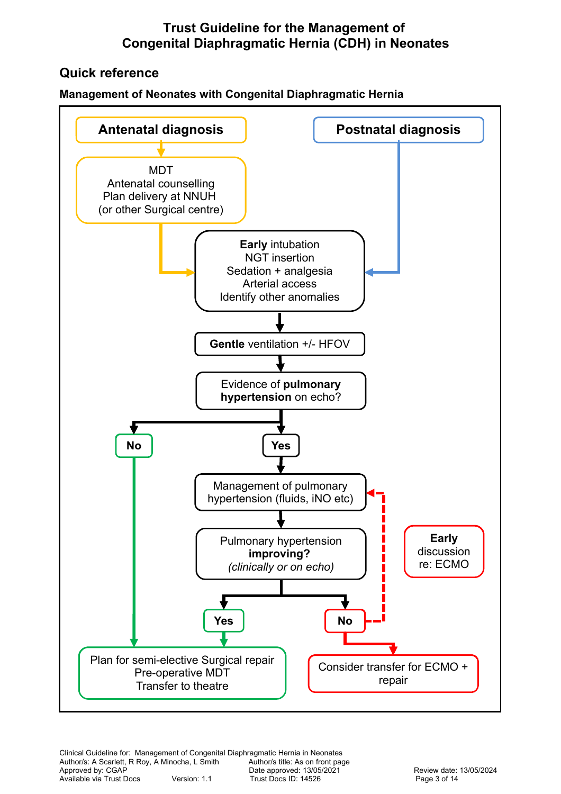# **Quick reference**

#### **Management of Neonates with Congenital Diaphragmatic Hernia**

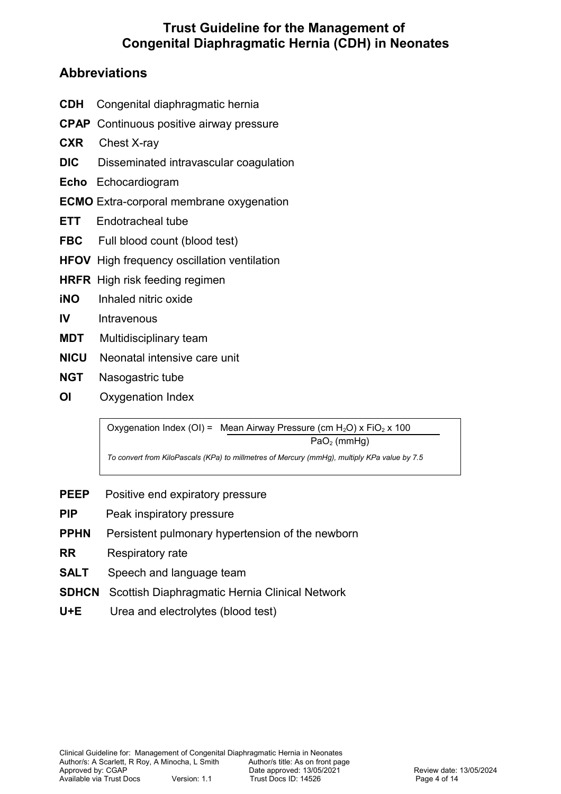# **Abbreviations**

- **CDH** Congenital diaphragmatic hernia
- **CPAP** Continuous positive airway pressure
- **CXR** Chest X-ray
- **DIC** Disseminated intravascular coagulation
- **Echo** Echocardiogram
- **ECMO** Extra-corporal membrane oxygenation
- **ETT** Endotracheal tube
- FBC Full blood count (blood test)
- **HFOV** High frequency oscillation ventilation
- **HRFR** High risk feeding regimen
- **iNO** Inhaled nitric oxide
- **IV** Intravenous
- **MDT** Multidisciplinary team
- **NICU** Neonatal intensive care unit
- **NGT** Nasogastric tube
- **OI** Oxygenation Index

Oxygenation Index (OI) = Mean Airway Pressure (cm  $H_2O$ ) x FiO<sub>2</sub> x 100 PaO<sub>2</sub> (mmHg)

*To convert from KiloPascals (KPa) to millmetres of Mercury (mmHg), multiply KPa value by 7.5*

- **PEEP** Positive end expiratory pressure
- **PIP** Peak inspiratory pressure
- **PPHN** Persistent pulmonary hypertension of the newborn
- **RR** Respiratory rate
- **SALT** Speech and language team
- **SDHCN** Scottish Diaphragmatic Hernia Clinical Network
- **U+E** Urea and electrolytes (blood test)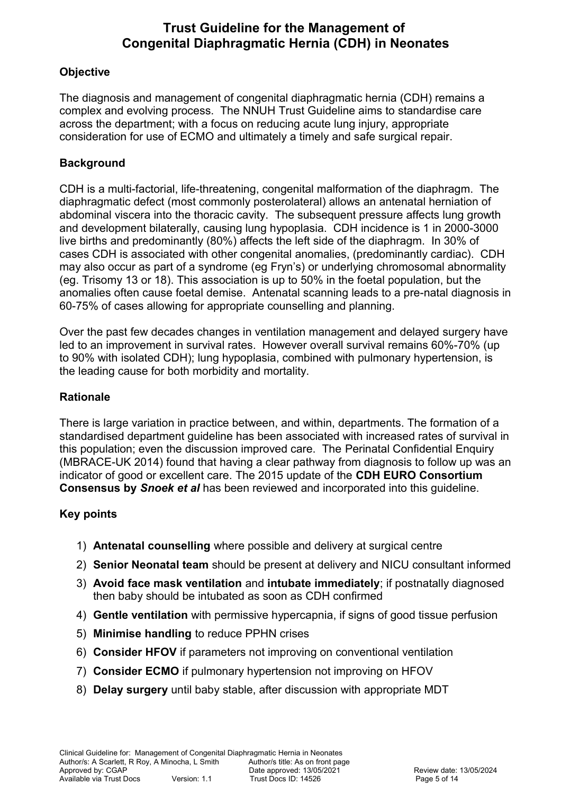## **Objective**

The diagnosis and management of congenital diaphragmatic hernia (CDH) remains a complex and evolving process. The NNUH Trust Guideline aims to standardise care across the department; with a focus on reducing acute lung injury, appropriate consideration for use of ECMO and ultimately a timely and safe surgical repair.

## **Background**

CDH is a multi-factorial, life-threatening, congenital malformation of the diaphragm. The diaphragmatic defect (most commonly posterolateral) allows an antenatal herniation of abdominal viscera into the thoracic cavity. The subsequent pressure affects lung growth and development bilaterally, causing lung hypoplasia. CDH incidence is 1 in 2000-3000 live births and predominantly (80%) affects the left side of the diaphragm. In 30% of cases CDH is associated with other congenital anomalies, (predominantly cardiac). CDH may also occur as part of a syndrome (eg Fryn's) or underlying chromosomal abnormality (eg. Trisomy 13 or 18). This association is up to 50% in the foetal population, but the anomalies often cause foetal demise. Antenatal scanning leads to a pre-natal diagnosis in 60-75% of cases allowing for appropriate counselling and planning.

Over the past few decades changes in ventilation management and delayed surgery have led to an improvement in survival rates. However overall survival remains 60%-70% (up to 90% with isolated CDH); lung hypoplasia, combined with pulmonary hypertension, is the leading cause for both morbidity and mortality.

## **Rationale**

There is large variation in practice between, and within, departments. The formation of a standardised department guideline has been associated with increased rates of survival in this population; even the discussion improved care. The Perinatal Confidential Enquiry (MBRACE-UK 2014) found that having a clear pathway from diagnosis to follow up was an indicator of good or excellent care. The 2015 update of the **CDH EURO Consortium Consensus by** *Snoek et al* has been reviewed and incorporated into this guideline.

### **Key points**

- 1) **Antenatal counselling** where possible and delivery at surgical centre
- 2) **Senior Neonatal team** should be present at delivery and NICU consultant informed
- 3) **Avoid face mask ventilation** and **intubate immediately**; if postnatally diagnosed then baby should be intubated as soon as CDH confirmed
- 4) **Gentle ventilation** with permissive hypercapnia, if signs of good tissue perfusion
- 5) **Minimise handling** to reduce PPHN crises
- 6) **Consider HFOV** if parameters not improving on conventional ventilation
- 7) **Consider ECMO** if pulmonary hypertension not improving on HFOV
- 8) **Delay surgery** until baby stable, after discussion with appropriate MDT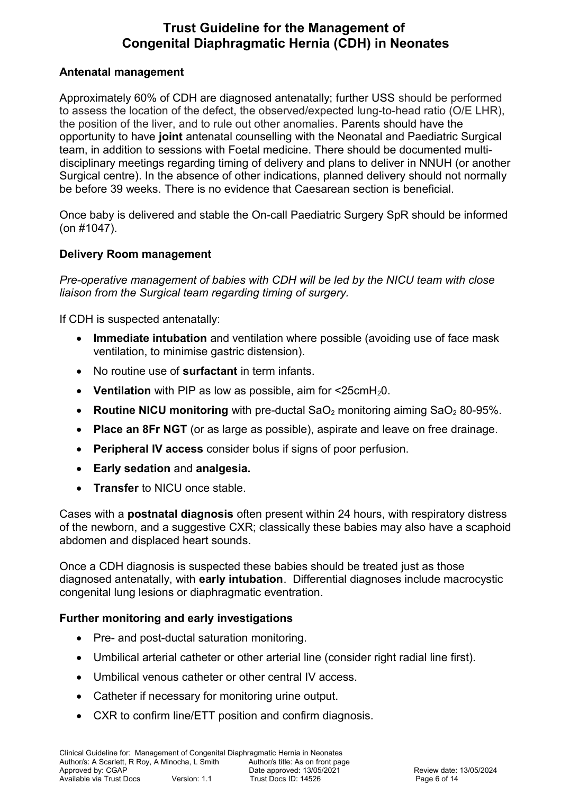#### **Antenatal management**

Approximately 60% of CDH are diagnosed antenatally; further USS should be performed to assess the location of the defect, the observed/expected lung-to-head ratio (O/E LHR), the position of the liver, and to rule out other anomalies. Parents should have the opportunity to have **joint** antenatal counselling with the Neonatal and Paediatric Surgical team, in addition to sessions with Foetal medicine. There should be documented multidisciplinary meetings regarding timing of delivery and plans to deliver in NNUH (or another Surgical centre). In the absence of other indications, planned delivery should not normally be before 39 weeks. There is no evidence that Caesarean section is beneficial.

Once baby is delivered and stable the On-call Paediatric Surgery SpR should be informed (on #1047).

#### **Delivery Room management**

*Pre-operative management of babies with CDH will be led by the NICU team with close liaison from the Surgical team regarding timing of surgery.* 

If CDH is suspected antenatally:

- **Immediate intubation** and ventilation where possible (avoiding use of face mask ventilation, to minimise gastric distension).
- No routine use of **surfactant** in term infants.
- Ventilation with PIP as low as possible, aim for <25cmH<sub>2</sub>0.
- **Routine NICU monitoring** with pre-ductal SaO<sub>2</sub> monitoring aiming SaO<sub>2</sub> 80-95%.
- **Place an 8Fr NGT** (or as large as possible), aspirate and leave on free drainage.
- **Peripheral IV access** consider bolus if signs of poor perfusion.
- **Early sedation** and **analgesia.**
- **Transfer** to NICU once stable.

Cases with a **postnatal diagnosis** often present within 24 hours, with respiratory distress of the newborn, and a suggestive CXR; classically these babies may also have a scaphoid abdomen and displaced heart sounds.

Once a CDH diagnosis is suspected these babies should be treated just as those diagnosed antenatally, with **early intubation**. Differential diagnoses include macrocystic congenital lung lesions or diaphragmatic eventration.

### **Further monitoring and early investigations**

- Pre- and post-ductal saturation monitoring.
- Umbilical arterial catheter or other arterial line (consider right radial line first).
- Umbilical venous catheter or other central IV access.
- Catheter if necessary for monitoring urine output.
- CXR to confirm line/ETT position and confirm diagnosis.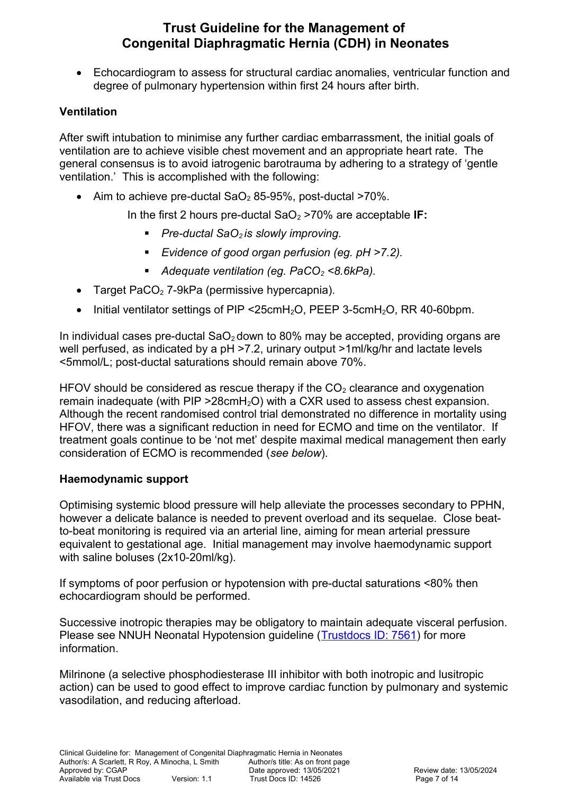Echocardiogram to assess for structural cardiac anomalies, ventricular function and degree of pulmonary hypertension within first 24 hours after birth.

#### **Ventilation**

After swift intubation to minimise any further cardiac embarrassment, the initial goals of ventilation are to achieve visible chest movement and an appropriate heart rate. The general consensus is to avoid iatrogenic barotrauma by adhering to a strategy of 'gentle ventilation.' This is accomplished with the following:

• Aim to achieve pre-ductal  $SaO<sub>2</sub>$  85-95%, post-ductal  $>70\%$ .

In the first 2 hours pre-ductal SaO<sub>2</sub> >70% are acceptable **IF:** 

- *Pre-ductal SaO2 is slowly improving.*
- *Evidence of good organ perfusion (eg. pH >7.2).*
- *Adequate ventilation (eg. PaCO2 <8.6kPa).*
- Target PaCO<sub>2</sub> 7-9kPa (permissive hypercapnia).
- Initial ventilator settings of PIP <25cmH<sub>2</sub>O, PEEP 3-5cmH<sub>2</sub>O, RR 40-60bpm.

In individual cases pre-ductal  $SaO<sub>2</sub>$  down to 80% may be accepted, providing organs are well perfused, as indicated by a pH >7.2, urinary output >1ml/kg/hr and lactate levels <5mmol/L; post-ductal saturations should remain above 70%.

HFOV should be considered as rescue therapy if the  $CO<sub>2</sub>$  clearance and oxygenation remain inadequate (with  $PIP > 28 \text{cm}H_2O$ ) with a CXR used to assess chest expansion. Although the recent randomised control trial demonstrated no difference in mortality using HFOV, there was a significant reduction in need for ECMO and time on the ventilator. If treatment goals continue to be 'not met' despite maximal medical management then early consideration of ECMO is recommended (*see below*).

#### **Haemodynamic support**

Optimising systemic blood pressure will help alleviate the processes secondary to PPHN, however a delicate balance is needed to prevent overload and its sequelae. Close beatto-beat monitoring is required via an arterial line, aiming for mean arterial pressure equivalent to gestational age. Initial management may involve haemodynamic support with saline boluses (2x10-20ml/kg).

If symptoms of poor perfusion or hypotension with pre-ductal saturations <80% then echocardiogram should be performed.

Successive inotropic therapies may be obligatory to maintain adequate visceral perfusion. Please see NNUH Neonatal Hypotension guideline [\(Trustdocs ID: 7561\)](http://nnvmwebapps01/TrustDocs/ViewDoc.aspx?id=7561) for more information.

Milrinone (a selective phosphodiesterase III inhibitor with both inotropic and lusitropic action) can be used to good effect to improve cardiac function by pulmonary and systemic vasodilation, and reducing afterload.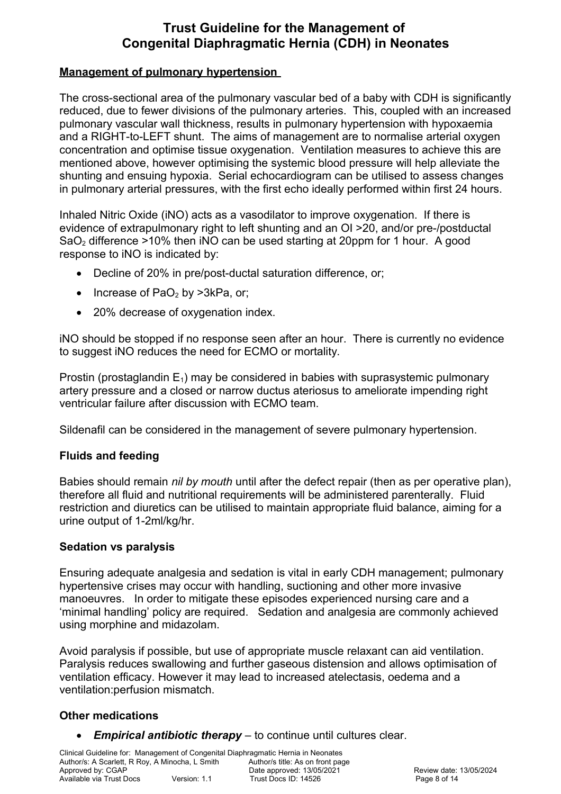#### **Management of pulmonary hypertension**

The cross-sectional area of the pulmonary vascular bed of a baby with CDH is significantly reduced, due to fewer divisions of the pulmonary arteries. This, coupled with an increased pulmonary vascular wall thickness, results in pulmonary hypertension with hypoxaemia and a RIGHT-to-LEFT shunt. The aims of management are to normalise arterial oxygen concentration and optimise tissue oxygenation. Ventilation measures to achieve this are mentioned above, however optimising the systemic blood pressure will help alleviate the shunting and ensuing hypoxia. Serial echocardiogram can be utilised to assess changes in pulmonary arterial pressures, with the first echo ideally performed within first 24 hours.

Inhaled Nitric Oxide (iNO) acts as a vasodilator to improve oxygenation. If there is evidence of extrapulmonary right to left shunting and an OI >20, and/or pre-/postductal  $SaO<sub>2</sub>$  difference  $>10\%$  then iNO can be used starting at 20ppm for 1 hour. A good response to iNO is indicated by:

- Decline of 20% in pre/post-ductal saturation difference, or;
- Increase of  $PaO<sub>2</sub>$  by >3kPa, or;
- 20% decrease of oxygenation index.

iNO should be stopped if no response seen after an hour. There is currently no evidence to suggest iNO reduces the need for ECMO or mortality.

Prostin (prostaglandin  $E_1$ ) may be considered in babies with suprasystemic pulmonary artery pressure and a closed or narrow ductus ateriosus to ameliorate impending right ventricular failure after discussion with ECMO team.

Sildenafil can be considered in the management of severe pulmonary hypertension.

### **Fluids and feeding**

Babies should remain *nil by mouth* until after the defect repair (then as per operative plan), therefore all fluid and nutritional requirements will be administered parenterally. Fluid restriction and diuretics can be utilised to maintain appropriate fluid balance, aiming for a urine output of 1-2ml/kg/hr.

#### **Sedation vs paralysis**

Ensuring adequate analgesia and sedation is vital in early CDH management; pulmonary hypertensive crises may occur with handling, suctioning and other more invasive manoeuvres. In order to mitigate these episodes experienced nursing care and a 'minimal handling' policy are required. Sedation and analgesia are commonly achieved using morphine and midazolam.

Avoid paralysis if possible, but use of appropriate muscle relaxant can aid ventilation. Paralysis reduces swallowing and further gaseous distension and allows optimisation of ventilation efficacy. However it may lead to increased atelectasis, oedema and a ventilation:perfusion mismatch.

#### **Other medications**

*Empirical antibiotic therapy* – to continue until cultures clear.

Clinical Guideline for: Management of Congenital Diaphragmatic Hernia in Neonates Author/s: A Scarlett, R Roy, A Minocha, L Smith Author/s title: As on front page<br>Approved by: CGAP Date approved: 13/05/2021 Approved by: CGAP<br>
Available via Trust Docs<br>
Available via Trust Docs<br>
Drust Docs ID: 14526<br>
Page 8 of 14 Version: 1.1 Trust Docs ID: 14526<br>
Page 8 of 14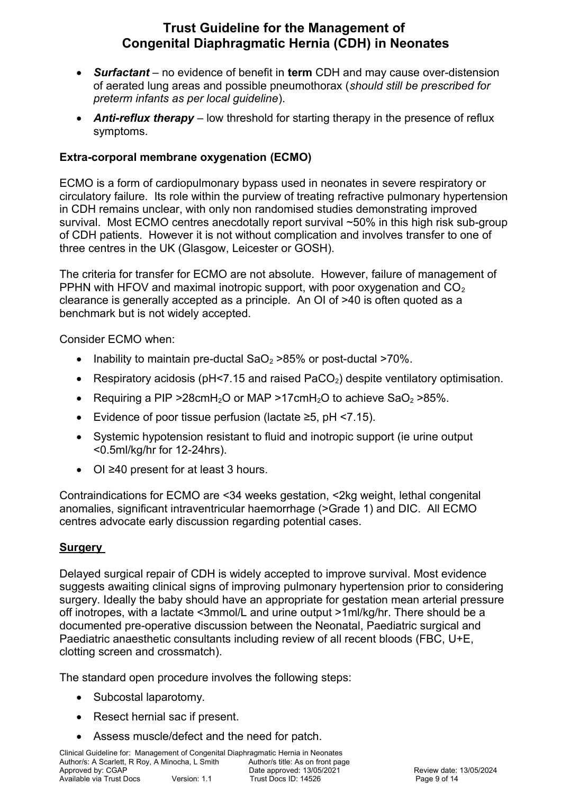- *Surfactant*  no evidence of benefit in **term** CDH and may cause over-distension of aerated lung areas and possible pneumothorax (*should still be prescribed for preterm infants as per local guideline*).
- *Anti-reflux therapy* low threshold for starting therapy in the presence of reflux symptoms.

### **Extra-corporal membrane oxygenation (ECMO)**

ECMO is a form of cardiopulmonary bypass used in neonates in severe respiratory or circulatory failure. Its role within the purview of treating refractive pulmonary hypertension in CDH remains unclear, with only non randomised studies demonstrating improved survival. Most ECMO centres anecdotally report survival ~50% in this high risk sub-group of CDH patients. However it is not without complication and involves transfer to one of three centres in the UK (Glasgow, Leicester or GOSH).

The criteria for transfer for ECMO are not absolute. However, failure of management of PPHN with HFOV and maximal inotropic support, with poor oxygenation and  $CO<sub>2</sub>$ clearance is generally accepted as a principle. An OI of >40 is often quoted as a benchmark but is not widely accepted.

Consider ECMO when:

- Inability to maintain pre-ductal  $SaO<sub>2</sub> > 85%$  or post-ductal  $>70%$ .
- **Respiratory acidosis (pH<7.15 and raised PaCO<sub>2</sub>) despite ventilatory optimisation.**
- Requiring a PIP > 28cmH<sub>2</sub>O or MAP > 17cmH<sub>2</sub>O to achieve SaO<sub>2</sub> > 85%.
- Evidence of poor tissue perfusion (lactate ≥5, pH <7.15).
- Systemic hypotension resistant to fluid and inotropic support (ie urine output <0.5ml/kg/hr for 12-24hrs).
- OI ≥40 present for at least 3 hours.

Contraindications for ECMO are <34 weeks gestation, <2kg weight, lethal congenital anomalies, significant intraventricular haemorrhage (>Grade 1) and DIC. All ECMO centres advocate early discussion regarding potential cases.

### **Surgery**

Delayed surgical repair of CDH is widely accepted to improve survival. Most evidence suggests awaiting clinical signs of improving pulmonary hypertension prior to considering surgery. Ideally the baby should have an appropriate for gestation mean arterial pressure off inotropes, with a lactate <3mmol/L and urine output >1ml/kg/hr. There should be a documented pre-operative discussion between the Neonatal, Paediatric surgical and Paediatric anaesthetic consultants including review of all recent bloods (FBC, U+E, clotting screen and crossmatch).

The standard open procedure involves the following steps:

- Subcostal laparotomy.
- Resect hernial sac if present.
- Assess muscle/defect and the need for patch.

Clinical Guideline for: Management of Congenital Diaphragmatic Hernia in Neonates Author/s: A Scarlett, R Roy, A Minocha, L Smith Author/s title: As on front page<br>Approved by: CGAP Date approved: 13/05/2021 Approved by: CGAP  $\frac{1}{2}$  Date approved: 13/05/2021 Review date: 13/05/2024<br>Available via Trust Docs Version: 1.1 Trust Docs ID: 14526 Rage 9 of 14 Trust Docs ID: 14526<br> **Page 9 of 14**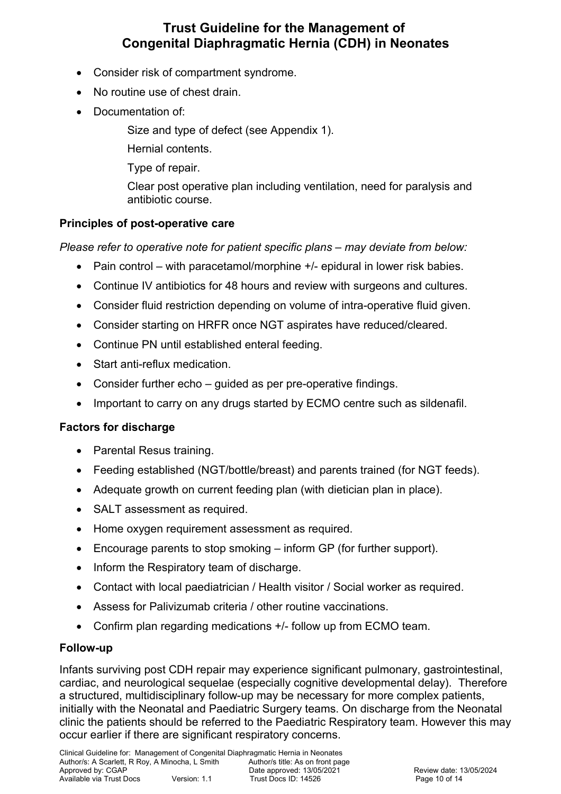- Consider risk of compartment syndrome.
- No routine use of chest drain.
- Documentation of:
	- Size and type of defect (see Appendix 1).
	- Hernial contents.
	- Type of repair.
	- Clear post operative plan including ventilation, need for paralysis and antibiotic course.

## **Principles of post-operative care**

*Please refer to operative note for patient specific plans – may deviate from below:*

- Pain control with paracetamol/morphine +/- epidural in lower risk babies.
- Continue IV antibiotics for 48 hours and review with surgeons and cultures.
- Consider fluid restriction depending on volume of intra-operative fluid given.
- Consider starting on HRFR once NGT aspirates have reduced/cleared.
- Continue PN until established enteral feeding.
- Start anti-reflux medication.
- Consider further echo guided as per pre-operative findings.
- Important to carry on any drugs started by ECMO centre such as sildenafil.

### **Factors for discharge**

- Parental Resus training.
- Feeding established (NGT/bottle/breast) and parents trained (for NGT feeds).
- Adequate growth on current feeding plan (with dietician plan in place).
- SALT assessment as required.
- Home oxygen requirement assessment as required.
- Encourage parents to stop smoking inform GP (for further support).
- Inform the Respiratory team of discharge.
- Contact with local paediatrician / Health visitor / Social worker as required.
- Assess for Palivizumab criteria / other routine vaccinations.
- Confirm plan regarding medications +/- follow up from ECMO team.

### **Follow-up**

Infants surviving post CDH repair may experience significant pulmonary, gastrointestinal, cardiac, and neurological sequelae (especially cognitive developmental delay). Therefore a structured, multidisciplinary follow-up may be necessary for more complex patients, initially with the Neonatal and Paediatric Surgery teams. On discharge from the Neonatal clinic the patients should be referred to the Paediatric Respiratory team. However this may occur earlier if there are significant respiratory concerns.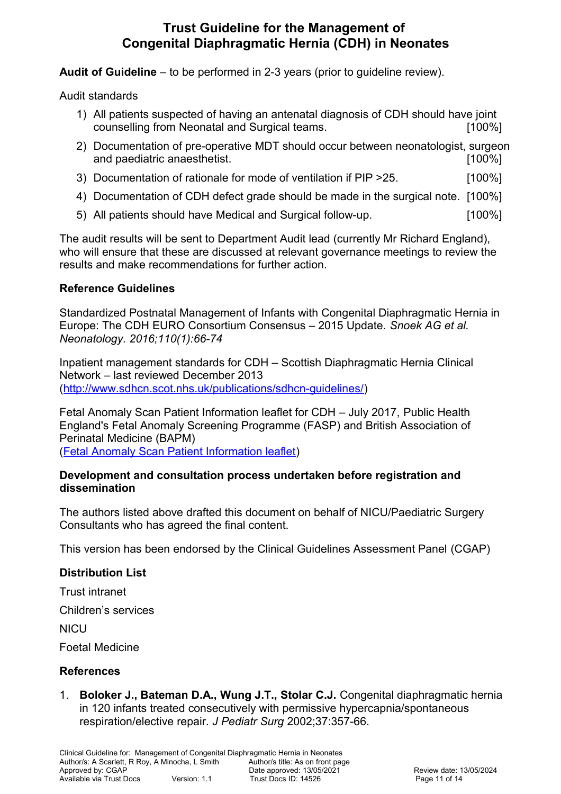**Audit of Guideline** – to be performed in 2-3 years (prior to guideline review).

Audit standards

- 1) All patients suspected of having an antenatal diagnosis of CDH should have joint counselling from Neonatal and Surgical teams. [100%]
- 2) Documentation of pre-operative MDT should occur between neonatologist, surgeon and paediatric anaesthetist. **Example 20** is a set of the set of the set of the set of the set of the set of the set of the set of the set of the set of the set of the set of the set of the set of the set of the set of the
- 3) Documentation of rationale for mode of ventilation if PIP >25. [100%]
- 4) Documentation of CDH defect grade should be made in the surgical note. [100%]
- 5) All patients should have Medical and Surgical follow-up. [100%]

The audit results will be sent to Department Audit lead (currently Mr Richard England), who will ensure that these are discussed at relevant governance meetings to review the results and make recommendations for further action.

## **Reference Guidelines**

Standardized Postnatal Management of Infants with Congenital Diaphragmatic Hernia in Europe: The CDH EURO Consortium Consensus – 2015 Update. *Snoek AG et al. Neonatology. 2016;110(1):66-74*

Inpatient management standards for CDH – Scottish Diaphragmatic Hernia Clinical Network – last reviewed December 2013 [\(http://www.sdhcn.scot.nhs.uk/publications/sdhcn-guidelines/\)](http://www.sdhcn.scot.nhs.uk/publications/sdhcn-guidelines/)

Fetal Anomaly Scan Patient Information leaflet for CDH – July 2017, Public Health England's Fetal Anomaly Screening Programme (FASP) and British Association of Perinatal Medicine (BAPM)

[\(Fetal Anomaly Scan Patient Information leaflet\)](http://dmtrk.net/12S1-5271W-CB62UF5P52/cr.aspx)

#### **Development and consultation process undertaken before registration and dissemination**

The authors listed above drafted this document on behalf of NICU/Paediatric Surgery Consultants who has agreed the final content.

This version has been endorsed by the Clinical Guidelines Assessment Panel (CGAP)

### **Distribution List**

Trust intranet

Children's services

**NICU** 

Foetal Medicine

# **References**

1. **Boloker J., Bateman D.A., Wung J.T., Stolar C.J.** Congenital diaphragmatic hernia in 120 infants treated consecutively with permissive hypercapnia/spontaneous respiration/elective repair. *J Pediatr Surg* 2002;37:357-66.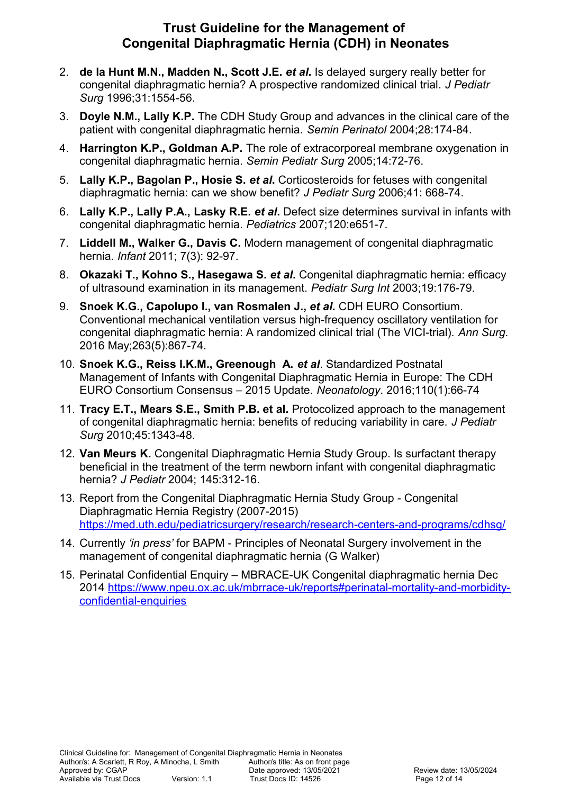- 2. **de la Hunt M.N., Madden N., Scott J.E.** *et al***.** Is delayed surgery really better for congenital diaphragmatic hernia? A prospective randomized clinical trial. *J Pediatr Surg* 1996;31:1554-56.
- 3. **Doyle N.M., Lally K.P.** The CDH Study Group and advances in the clinical care of the patient with congenital diaphragmatic hernia. *Semin Perinatol* 2004;28:174-84.
- 4. **Harrington K.P., Goldman A.P.** The role of extracorporeal membrane oxygenation in congenital diaphragmatic hernia. *Semin Pediatr Surg* 2005;14:72-76.
- 5. **Lally K.P., Bagolan P., Hosie S.** *et al***.** Corticosteroids for fetuses with congenital diaphragmatic hernia: can we show benefit? *J Pediatr Surg* 2006;41: 668-74.
- 6. **Lally K.P., Lally P.A., Lasky R.E.** *et al***.** Defect size determines survival in infants with congenital diaphragmatic hernia. *Pediatrics* 2007;120:e651-7.
- 7. **Liddell M., Walker G., Davis C.** Modern management of congenital diaphragmatic hernia. *Infant* 2011; 7(3): 92-97.
- 8. **Okazaki T., Kohno S., Hasegawa S.** *et al***.** Congenital diaphragmatic hernia: efficacy of ultrasound examination in its management. *Pediatr Surg Int* 2003;19:176-79.
- 9. **[Snoek K.G.](https://www.ncbi.nlm.nih.gov/pubmed/?term=Snoek%20KG%5BAuthor%5D&cauthor=true&cauthor_uid=26692079), [Capolupo I.](https://www.ncbi.nlm.nih.gov/pubmed/?term=Capolupo%20I%5BAuthor%5D&cauthor=true&cauthor_uid=26692079), [van Rosmalen J.](https://www.ncbi.nlm.nih.gov/pubmed/?term=van%20Rosmalen%20J%5BAuthor%5D&cauthor=true&cauthor_uid=26692079),** *et al***.** [CDH EURO Consortium.](https://www.ncbi.nlm.nih.gov/pubmed/?term=CDH%20EURO%20Consortium%5BCorporate%20Author%5D) Conventional mechanical ventilation versus high-frequency oscillatory ventilation for congenital diaphragmatic hernia: A randomized clinical trial (The VICI-trial). *[Ann Surg.](https://www.ncbi.nlm.nih.gov/pubmed/26692079)* 2016 May;263(5):867-74.
- 10. **Snoek K.G., Reiss I.K.M., Greenough A.** *et al*. Standardized Postnatal Management of Infants with Congenital Diaphragmatic Hernia in Europe: The CDH EURO Consortium Consensus – 2015 Update. *Neonatology*. 2016;110(1):66-74
- 11. **Tracy E.T., Mears S.E., Smith P.B. et al.** Protocolized approach to the management of congenital diaphragmatic hernia: benefits of reducing variability in care. *J Pediatr Surg* 2010;45:1343-48.
- 12. **Van Meurs K.** Congenital Diaphragmatic Hernia Study Group. Is surfactant therapy beneficial in the treatment of the term newborn infant with congenital diaphragmatic hernia? *J Pediatr* 2004; 145:312-16.
- 13. Report from the Congenital Diaphragmatic Hernia Study Group Congenital Diaphragmatic Hernia Registry (2007-2015) <https://med.uth.edu/pediatricsurgery/research/research-centers-and-programs/cdhsg/>
- 14. Currently *'in press'* for BAPM Principles of Neonatal Surgery involvement in the management of congenital diaphragmatic hernia (G Walker)
- 15. Perinatal Confidential Enquiry MBRACE-UK Congenital diaphragmatic hernia Dec 2014 [https://www.npeu.ox.ac.uk/mbrrace-uk/reports#perinatal-mortality-and-morbidity](https://www.npeu.ox.ac.uk/mbrrace-uk/reports#perinatal-mortality-and-morbidity-confidential-enquiries)[confidential-enquiries](https://www.npeu.ox.ac.uk/mbrrace-uk/reports#perinatal-mortality-and-morbidity-confidential-enquiries)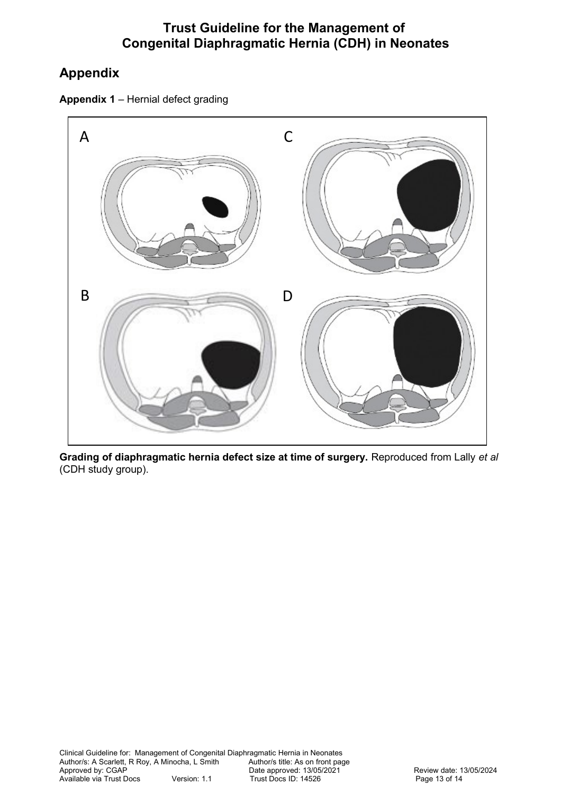# **Appendix**





**Grading of diaphragmatic hernia defect size at time of surgery.** Reproduced from Lally *et al* (CDH study group).